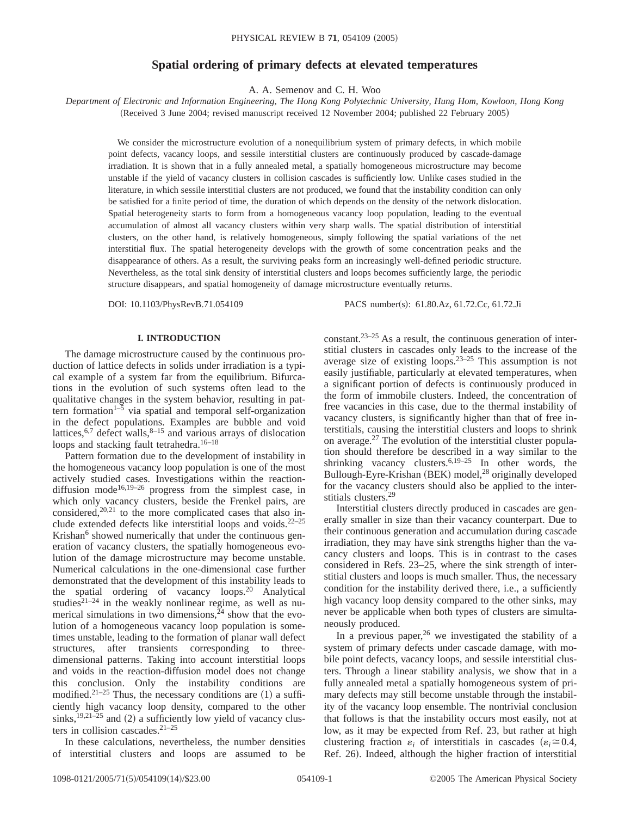# **Spatial ordering of primary defects at elevated temperatures**

A. A. Semenov and C. H. Woo

*Department of Electronic and Information Engineering, The Hong Kong Polytechnic University, Hung Hom, Kowloon, Hong Kong* (Received 3 June 2004; revised manuscript received 12 November 2004; published 22 February 2005)

We consider the microstructure evolution of a nonequilibrium system of primary defects, in which mobile point defects, vacancy loops, and sessile interstitial clusters are continuously produced by cascade-damage irradiation. It is shown that in a fully annealed metal, a spatially homogeneous microstructure may become unstable if the yield of vacancy clusters in collision cascades is sufficiently low. Unlike cases studied in the literature, in which sessile interstitial clusters are not produced, we found that the instability condition can only be satisfied for a finite period of time, the duration of which depends on the density of the network dislocation. Spatial heterogeneity starts to form from a homogeneous vacancy loop population, leading to the eventual accumulation of almost all vacancy clusters within very sharp walls. The spatial distribution of interstitial clusters, on the other hand, is relatively homogeneous, simply following the spatial variations of the net interstitial flux. The spatial heterogeneity develops with the growth of some concentration peaks and the disappearance of others. As a result, the surviving peaks form an increasingly well-defined periodic structure. Nevertheless, as the total sink density of interstitial clusters and loops becomes sufficiently large, the periodic structure disappears, and spatial homogeneity of damage microstructure eventually returns.

DOI: 10.1103/PhysRevB.71.054109 PACS number(s): 61.80.Az, 61.72.Cc, 61.72.Ji

#### **I. INTRODUCTION**

The damage microstructure caused by the continuous production of lattice defects in solids under irradiation is a typical example of a system far from the equilibrium. Bifurcations in the evolution of such systems often lead to the qualitative changes in the system behavior, resulting in pattern formation<sup>1–5</sup> via spatial and temporal self-organization in the defect populations. Examples are bubble and void lattices,  $6,7$  defect walls,  $8-15$  and various arrays of dislocation loops and stacking fault tetrahedra.<sup>16–18</sup>

Pattern formation due to the development of instability in the homogeneous vacancy loop population is one of the most actively studied cases. Investigations within the reactiondiffusion mode<sup>16,19–26</sup> progress from the simplest case, in which only vacancy clusters, beside the Frenkel pairs, are considered, $20,21$  to the more complicated cases that also include extended defects like interstitial loops and voids.22–25 Krishan<sup>6</sup> showed numerically that under the continuous generation of vacancy clusters, the spatially homogeneous evolution of the damage microstructure may become unstable. Numerical calculations in the one-dimensional case further demonstrated that the development of this instability leads to the spatial ordering of vacancy loops.<sup>20</sup> Analytical studies<sup>21–24</sup> in the weakly nonlinear regime, as well as numerical simulations in two dimensions, $24$  show that the evolution of a homogeneous vacancy loop population is sometimes unstable, leading to the formation of planar wall defect structures, after transients corresponding to threedimensional patterns. Taking into account interstitial loops and voids in the reaction-diffusion model does not change this conclusion. Only the instability conditions are modified.<sup>21–25</sup> Thus, the necessary conditions are  $(1)$  a sufficiently high vacancy loop density, compared to the other sinks,<sup>19,21–25</sup> and (2) a sufficiently low yield of vacancy clusters in collision cascades. $21-25$ 

In these calculations, nevertheless, the number densities of interstitial clusters and loops are assumed to be constant. $23-25$  As a result, the continuous generation of interstitial clusters in cascades only leads to the increase of the average size of existing loops.23–25 This assumption is not easily justifiable, particularly at elevated temperatures, when a significant portion of defects is continuously produced in the form of immobile clusters. Indeed, the concentration of free vacancies in this case, due to the thermal instability of vacancy clusters, is significantly higher than that of free interstitials, causing the interstitial clusters and loops to shrink on average.27 The evolution of the interstitial cluster population should therefore be described in a way similar to the shrinking vacancy clusters.6,19–25 In other words, the Bullough-Eyre-Krishan (BEK) model,<sup>28</sup> originally developed for the vacancy clusters should also be applied to the interstitials clusters.<sup>29</sup>

Interstitial clusters directly produced in cascades are generally smaller in size than their vacancy counterpart. Due to their continuous generation and accumulation during cascade irradiation, they may have sink strengths higher than the vacancy clusters and loops. This is in contrast to the cases considered in Refs. 23–25, where the sink strength of interstitial clusters and loops is much smaller. Thus, the necessary condition for the instability derived there, i.e., a sufficiently high vacancy loop density compared to the other sinks, may never be applicable when both types of clusters are simultaneously produced.

In a previous paper,  $2^6$  we investigated the stability of a system of primary defects under cascade damage, with mobile point defects, vacancy loops, and sessile interstitial clusters. Through a linear stability analysis, we show that in a fully annealed metal a spatially homogeneous system of primary defects may still become unstable through the instability of the vacancy loop ensemble. The nontrivial conclusion that follows is that the instability occurs most easily, not at low, as it may be expected from Ref. 23, but rather at high clustering fraction  $\varepsilon_i$  of interstitials in cascades ( $\varepsilon_i \approx 0.4$ , Ref. 26). Indeed, although the higher fraction of interstitial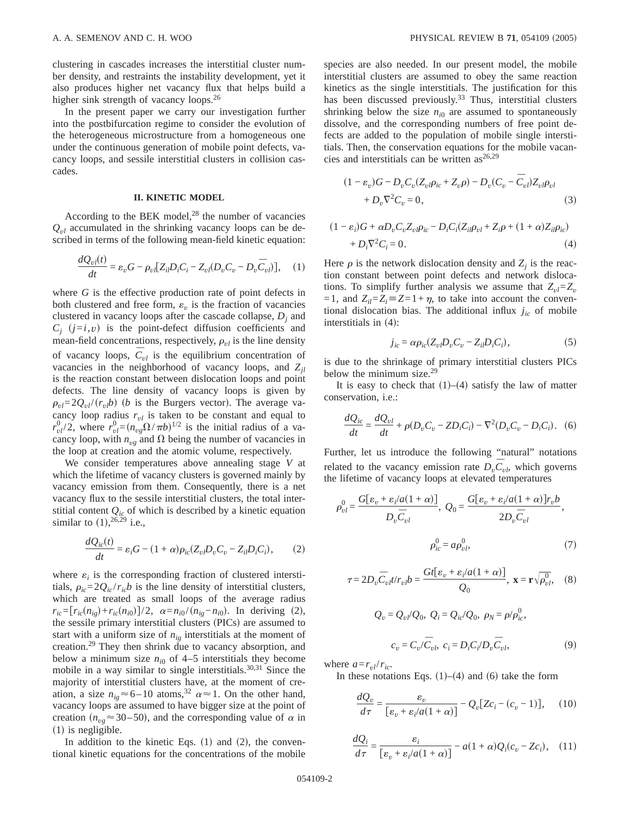clustering in cascades increases the interstitial cluster number density, and restraints the instability development, yet it also produces higher net vacancy flux that helps build a higher sink strength of vacancy loops.<sup>26</sup>

In the present paper we carry our investigation further into the postbifurcation regime to consider the evolution of the heterogeneous microstructure from a homogeneous one under the continuous generation of mobile point defects, vacancy loops, and sessile interstitial clusters in collision cascades.

## **II. KINETIC MODEL**

According to the BEK model,<sup>28</sup> the number of vacancies  $Q_{\nu l}$  accumulated in the shrinking vacancy loops can be described in terms of the following mean-field kinetic equation:

$$
\frac{dQ_{vl}(t)}{dt} = \varepsilon_v G - \rho_v [Z_{il} D_i C_i - Z_{vl} (D_v C_v - D_v \overline{C}_{vl})], \quad (1)
$$

where *G* is the effective production rate of point defects in both clustered and free form,  $\varepsilon_v$  is the fraction of vacancies clustered in vacancy loops after the cascade collapse,  $D_i$  and  $C_i$   $(j=i, v)$  is the point-defect diffusion coefficients and mean-field concentrations, respectively,  $\rho_{vl}$  is the line density of vacancy loops,  $\overline{C}_{vl}$  is the equilibrium concentration of vacancies in the neighborhood of vacancy loops, and  $Z_{jl}$ is the reaction constant between dislocation loops and point defects. The line density of vacancy loops is given by  $\rho_{vl} = 2Q_{vl}/(r_{vl}b)$  (*b* is the Burgers vector). The average vacancy loop radius  $r_{vl}$  is taken to be constant and equal to  $r_{vl}^0/2$ , where  $r_{vl}^0 = (n_{vg}\Omega/\pi b)^{1/2}$  is the initial radius of a vacancy loop, with  $n_{v}$  and  $\Omega$  being the number of vacancies in the loop at creation and the atomic volume, respectively.

We consider temperatures above annealing stage *V* at which the lifetime of vacancy clusters is governed mainly by vacancy emission from them. Consequently, there is a net vacancy flux to the sessile interstitial clusters, the total interstitial content  $Q_{ic}$  of which is described by a kinetic equation similar to  $(1),^{26,29}$  i.e.,

$$
\frac{dQ_{ic}(t)}{dt} = \varepsilon_i G - (1 + \alpha) \rho_{ic} (Z_{vl} D_v C_v - Z_{il} D_i C_i), \qquad (2)
$$

where  $\varepsilon_i$  is the corresponding fraction of clustered interstitials,  $\rho_{ic}=2Q_{ic}/r_{ic}b$  is the line density of interstitial clusters, which are treated as small loops of the average radius  $r_{ic} = [r_{ic}(n_{ig}) + r_{ic}(n_{i0})]/2$ ,  $\alpha = n_{i0}/(n_{ig} - n_{i0})$ . In deriving (2), the sessile primary interstitial clusters (PICs) are assumed to start with a uniform size of *nig* interstitials at the moment of creation.29 They then shrink due to vacancy absorption, and below a minimum size  $n_{i0}$  of 4–5 interstitials they become mobile in a way similar to single interstitials.30,31 Since the majority of interstitial clusters have, at the moment of creation, a size  $n_{ig} \approx 6-10$  atoms,<sup>32</sup>  $\alpha \approx 1$ . On the other hand, vacancy loops are assumed to have bigger size at the point of creation ( $n_{vg} \approx 30-50$ ), and the corresponding value of  $\alpha$  in  $(1)$  is negligible.

In addition to the kinetic Eqs.  $(1)$  and  $(2)$ , the conventional kinetic equations for the concentrations of the mobile species are also needed. In our present model, the mobile interstitial clusters are assumed to obey the same reaction kinetics as the single interstitials. The justification for this has been discussed previously.<sup>33</sup> Thus, interstitial clusters shrinking below the size  $n_{i0}$  are assumed to spontaneously dissolve, and the corresponding numbers of free point defects are added to the population of mobile single interstitials. Then, the conservation equations for the mobile vacancies and interstitials can be written  $as^{26,29}$ 

$$
(1 - \varepsilon_v)G - D_vC_v(Z_{vl}\rho_{ic} + Z_v\rho) - D_v(C_v - \overline{C}_{vl})Z_{vl}\rho_{vl}
$$
  
+ 
$$
D_v\nabla^2 C_v = 0,
$$
 (3)

$$
(1 - \varepsilon_i)G + \alpha D_v C_v Z_{vl} \rho_{ic} - D_i C_i (Z_{il} \rho_{vl} + Z_i \rho + (1 + \alpha) Z_{il} \rho_{ic})
$$
  
+ 
$$
D_i \nabla^2 C_i = 0.
$$
 (4)

Here  $\rho$  is the network dislocation density and  $Z_i$  is the reaction constant between point defects and network dislocations. To simplify further analysis we assume that  $Z_{vl} = Z_v$  $=1$ , and  $Z_{il} = Z_i \equiv Z = 1 + \eta$ , to take into account the conventional dislocation bias. The additional influx  $j_{ic}$  of mobile interstitials in  $(4)$ :

$$
j_{ic} = \alpha \rho_{ic} (Z_{vl} D_v C_v - Z_{il} D_i C_i), \qquad (5)
$$

is due to the shrinkage of primary interstitial clusters PICs below the minimum size. $29$ 

It is easy to check that  $(1)$ – $(4)$  satisfy the law of matter conservation, i.e.:

$$
\frac{dQ_{ic}}{dt} = \frac{dQ_{vl}}{dt} + \rho(D_vC_v - ZD_iC_i) - \nabla^2(D_vC_v - D_iC_i). \tag{6}
$$

Further, let us introduce the following "natural" notations related to the vacancy emission rate  $D_v\bar{C}_{vl}$ , which governs the lifetime of vacancy loops at elevated temperatures

$$
\rho_{vl}^{0} = \frac{G[\varepsilon_{v} + \varepsilon_{i}/a(1+\alpha)]}{D_{v}\bar{C}_{vl}}, \ Q_{0} = \frac{G[\varepsilon_{v} + \varepsilon_{i}/a(1+\alpha)]r_{v}b}{2D_{v}\bar{C}_{vl}},
$$
\n
$$
\rho_{ic}^{0} = a\rho_{vl}^{0},
$$
\n(7)

$$
\tau = 2D_v \overline{C}_{vl} t/r_{vl} b = \frac{Gt[\varepsilon_v + \varepsilon_l/a(1+\alpha)]}{Q_0}, \mathbf{x} = \mathbf{r} \sqrt{\rho_{vl}^0}, \quad (8)
$$

$$
Q_v = Q_{v}/Q_0, \ Q_i = Q_{ic}/Q_0, \ \rho_N = \rho/\rho_{ic}^0,
$$
  

$$
c_v = C_v/\overline{C}_{vl}, \ c_i = D_i C_i/D_v \overline{C}_{vl}, \tag{9}
$$

where  $a = r_{vl}/r_{ic}$ .

In these notations Eqs.  $(1)$ – $(4)$  and  $(6)$  take the form

$$
\frac{dQ_v}{d\tau} = \frac{\varepsilon_v}{\left[\varepsilon_v + \varepsilon_i/a(1+\alpha)\right]} - Q_v[Zc_i - (c_v - 1)],\qquad(10)
$$

$$
\frac{dQ_i}{d\tau} = \frac{\varepsilon_i}{\left[\varepsilon_v + \varepsilon_i/a(1+\alpha)\right]} - a(1+\alpha)Q_i(c_v - Zc_i), \quad (11)
$$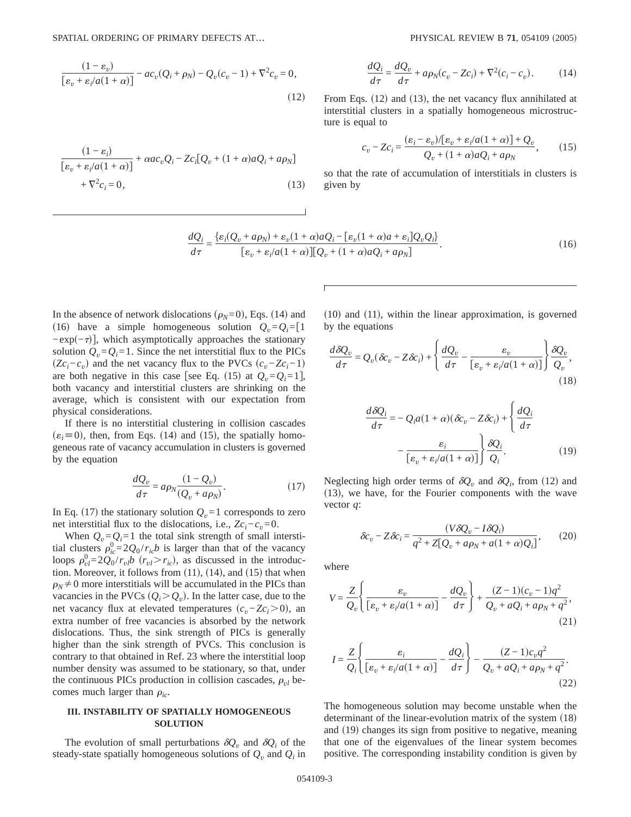$(1 - \varepsilon_i)$ 

$$
\frac{(1 - \varepsilon_v)}{[\varepsilon_v + \varepsilon_i/a(1 + \alpha)]} - ac_v(Q_i + \rho_N) - Q_v(c_v - 1) + \nabla^2 c_v = 0,
$$
\n(12)

 $\frac{1}{\left[\varepsilon_v + \varepsilon_i/a(1+\alpha)\right]} + \alpha ac_v Q_i - Zc_i [Q_v + (1+\alpha)aQ_i + a\rho_N]$ 

 $+\nabla^2 c_i = 0,$  (13)

$$
\frac{dQ_i}{d\tau} = \frac{dQ_v}{d\tau} + a\rho_N(c_v - Zc_i) + \nabla^2(c_i - c_v).
$$
 (14)

From Eqs.  $(12)$  and  $(13)$ , the net vacancy flux annihilated at interstitial clusters in a spatially homogeneous microstructure is equal to

$$
c_v - Zc_i = \frac{(\varepsilon_i - \varepsilon_v)/[\varepsilon_v + \varepsilon_i/a(1+\alpha)] + Q_v}{Q_v + (1+\alpha)aQ_i + a\rho_N},
$$
(15)

so that the rate of accumulation of interstitials in clusters is given by

$$
\frac{dQ_i}{d\tau} = \frac{\{\varepsilon_i(Q_v + a\rho_N) + \varepsilon_v(1 + \alpha)aQ_i - [\varepsilon_v(1 + \alpha)a + \varepsilon_i]Q_vQ_i\}}{[\varepsilon_v + \varepsilon_i/a(1 + \alpha)][Q_v + (1 + \alpha)aQ_i + a\rho_N]}.
$$
\n(16)

In the absence of network dislocations  $(\rho_N=0)$ , Eqs. (14) and (16) have a simple homogeneous solution  $Q_v = Q_i = [1]$  $-exp(-\tau)$ , which asymptotically approaches the stationary solution  $Q_v = Q_i = 1$ . Since the net interstitial flux to the PICs  $(Zc_i-c_i)$  and the net vacancy flux to the PVCs  $(c_i-Zc_i-1)$ are both negative in this case [see Eq. (15) at  $Q_v = Q_i = 1$ ], both vacancy and interstitial clusters are shrinking on the average, which is consistent with our expectation from physical considerations.

If there is no interstitial clustering in collision cascades  $(\varepsilon_i \equiv 0)$ , then, from Eqs. (14) and (15), the spatially homogeneous rate of vacancy accumulation in clusters is governed by the equation

$$
\frac{dQ_v}{d\tau} = a\rho_N \frac{(1 - Q_v)}{(Q_v + a\rho_N)}.\tag{17}
$$

In Eq. (17) the stationary solution  $Q_v = 1$  corresponds to zero net interstitial flux to the dislocations, i.e.,  $Zc_i-c_n=0$ .

When  $Q_v = Q_i = 1$  the total sink strength of small interstitial clusters  $\rho_{ic}^0 = 2Q_0 / r_{ic}b$  is larger than that of the vacancy loops  $\rho_{vl}^0 = 2Q_0 / r_{vl}b$  ( $r_{vl} > r_{ic}$ ), as discussed in the introduction. Moreover, it follows from  $(11)$ ,  $(14)$ , and  $(15)$  that when  $\rho_N \neq 0$  more interstitials will be accumulated in the PICs than vacancies in the PVCs  $(Q_i > Q_v)$ . In the latter case, due to the net vacancy flux at elevated temperatures  $(c_v-Zc_i>0)$ , an extra number of free vacancies is absorbed by the network dislocations. Thus, the sink strength of PICs is generally higher than the sink strength of PVCs. This conclusion is contrary to that obtained in Ref. 23 where the interstitial loop number density was assumed to be stationary, so that, under the continuous PICs production in collision cascades,  $\rho_{vl}$  becomes much larger than  $\rho_{ic}$ .

# **III. INSTABILITY OF SPATIALLY HOMOGENEOUS SOLUTION**

The evolution of small perturbations  $\delta Q_v$  and  $\delta Q_i$  of the steady-state spatially homogeneous solutions of  $Q_v$  and  $Q_i$  in  $(10)$  and  $(11)$ , within the linear approximation, is governed by the equations

$$
\frac{d\delta Q_v}{d\tau} = Q_v(\delta c_v - Z\delta c_i) + \left\{ \frac{dQ_v}{d\tau} - \frac{\varepsilon_v}{\left[\varepsilon_v + \varepsilon_i/a(1+\alpha)\right]} \right\} \frac{\delta Q_v}{Q_v},\tag{18}
$$

$$
\frac{d\delta Q_i}{d\tau} = -Q_i a (1 + \alpha)(\delta c_v - Z \delta c_i) + \left\{ \frac{dQ_i}{d\tau} - \frac{\varepsilon_i}{\left[\varepsilon_v + \varepsilon_i/a(1 + \alpha)\right]} \right\} \frac{\delta Q_i}{Q_i}.
$$
\n(19)

Neglecting high order terms of  $\delta Q_v$  and  $\delta Q_i$ , from (12) and  $(13)$ , we have, for the Fourier components with the wave vector *q*:

$$
\delta c_v - Z \delta c_i = \frac{(V \delta Q_v - I \delta Q_i)}{q^2 + Z[Q_v + a\rho_N + a(1 + \alpha)Q_i]},
$$
 (20)

where

$$
V = \frac{Z}{Q_v} \left\{ \frac{\varepsilon_v}{\left[\varepsilon_v + \varepsilon_i / a(1 + \alpha)\right]} - \frac{dQ_v}{d\tau} \right\} + \frac{(Z - 1)(c_v - 1)q^2}{Q_v + aQ_i + a\rho_N + q^2},\tag{21}
$$

$$
I = \frac{Z}{Q_i} \left\{ \frac{\varepsilon_i}{\left[\varepsilon_v + \varepsilon_i / a(1+\alpha)\right]} - \frac{dQ_i}{d\tau} \right\} - \frac{(Z-1)c_v q^2}{Q_v + aQ_i + a\rho_N + q^2}.
$$
\n(22)

The homogeneous solution may become unstable when the determinant of the linear-evolution matrix of the system  $(18)$ and (19) changes its sign from positive to negative, meaning that one of the eigenvalues of the linear system becomes positive. The corresponding instability condition is given by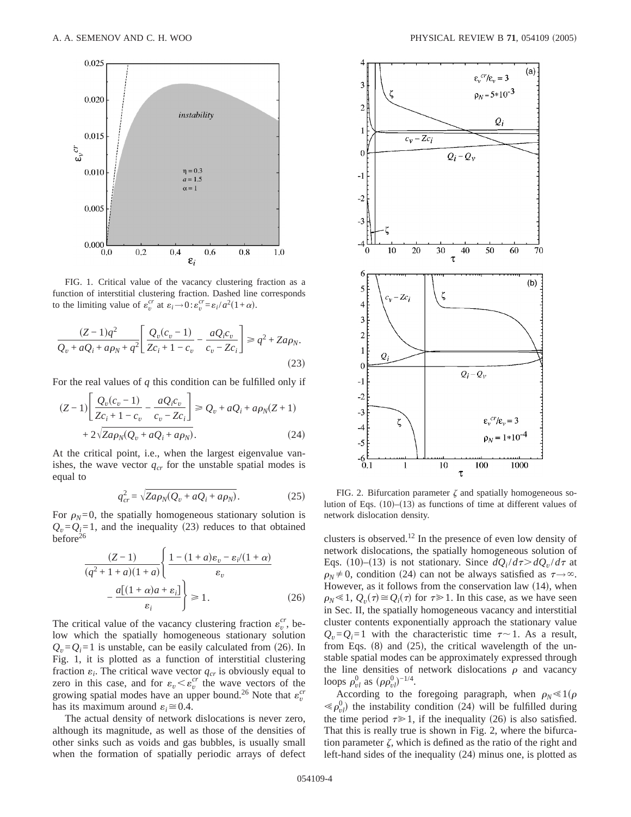

FIG. 1. Critical value of the vacancy clustering fraction as a function of interstitial clustering fraction. Dashed line corresponds to the limiting value of  $\varepsilon_v^{cr}$  at  $\varepsilon_i \to 0$ :  $\varepsilon_v^{cr} = \varepsilon_i / a^2 (1 + \alpha)$ .

$$
\frac{(Z-1)q^2}{Q_v + aQ_i + a\rho_N + q^2} \left[ \frac{Q_v(c_v - 1)}{Zc_i + 1 - c_v} - \frac{aQ_i c_v}{c_v - Zc_i} \right] \ge q^2 + Za\rho_N.
$$
\n(23)

For the real values of *q* this condition can be fulfilled only if

$$
(Z-1)\left[\frac{Q_v(c_v-1)}{Zc_i+1-c_v} - \frac{aQ_ic_v}{c_v-Zc_i}\right] \ge Q_v + aQ_i + a\rho_N(Z+1) + 2\sqrt{Za\rho_N(Q_v + aQ_i + a\rho_N)}.
$$
\n(24)

At the critical point, i.e., when the largest eigenvalue vanishes, the wave vector  $q_{cr}$  for the unstable spatial modes is equal to

$$
q_{cr}^2 = \sqrt{Za\rho_N(Q_v + aQ_i + a\rho_N)}.
$$
 (25)

For  $\rho_N=0$ , the spatially homogeneous stationary solution is  $Q_v = Q_i = 1$ , and the inequality (23) reduces to that obtained before<sup>26</sup>

$$
\frac{(Z-1)}{(q^2+1+a)(1+a)} \left\{ \frac{1-(1+a)\varepsilon_v - \varepsilon_i/(1+\alpha)}{\varepsilon_v} - \frac{a[(1+\alpha)a + \varepsilon_i]}{\varepsilon_i} \right\} \ge 1.
$$
 (26)

The critical value of the vacancy clustering fraction  $\varepsilon_v^{cr}$ , below which the spatially homogeneous stationary solution  $Q_v = Q_i = 1$  is unstable, can be easily calculated from (26). In Fig. 1, it is plotted as a function of interstitial clustering fraction  $\varepsilon_i$ . The critical wave vector  $q_{cr}$  is obviously equal to zero in this case, and for  $\varepsilon_v < \varepsilon_v^{cr}$  the wave vectors of the growing spatial modes have an upper bound.<sup>26</sup> Note that  $\varepsilon_v^{cr}$ has its maximum around  $\varepsilon_i \approx 0.4$ .

The actual density of network dislocations is never zero, although its magnitude, as well as those of the densities of other sinks such as voids and gas bubbles, is usually small when the formation of spatially periodic arrays of defect



FIG. 2. Bifurcation parameter  $\zeta$  and spatially homogeneous solution of Eqs.  $(10)$ – $(13)$  as functions of time at different values of network dislocation density.

clusters is observed.<sup>12</sup> In the presence of even low density of network dislocations, the spatially homogeneous solution of Eqs. (10)–(13) is not stationary. Since  $dQ_i / d\tau > dQ_v / d\tau$  at  $\rho_N \neq 0$ , condition (24) can not be always satisfied as  $\tau \rightarrow \infty$ . However, as it follows from the conservation law  $(14)$ , when  $\rho_N \leq 1$ ,  $Q_v(\tau) \cong Q_i(\tau)$  for  $\tau \geq 1$ . In this case, as we have seen in Sec. II, the spatially homogeneous vacancy and interstitial cluster contents exponentially approach the stationary value  $Q_{\nu}=Q_{\nu}=1$  with the characteristic time  $\tau \sim 1$ . As a result, from Eqs.  $(8)$  and  $(25)$ , the critical wavelength of the unstable spatial modes can be approximately expressed through the line densities of network dislocations  $\rho$  and vacancy loops  $\rho_{vl}^0$  as  $(\rho \rho_{vl}^0)^{-1/4}$ .

According to the foregoing paragraph, when  $\rho_N \ll 1$  ( $\rho$  $\ll \rho_{vl}^0$  the instability condition (24) will be fulfilled during the time period  $\tau \gg 1$ , if the inequality (26) is also satisfied. That this is really true is shown in Fig. 2, where the bifurcation parameter  $\zeta$ , which is defined as the ratio of the right and left-hand sides of the inequality  $(24)$  minus one, is plotted as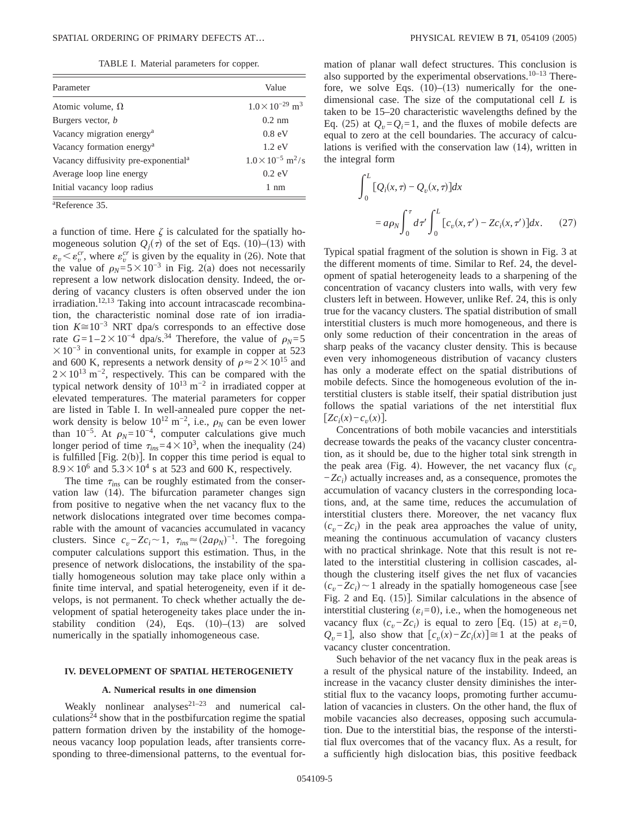TABLE I. Material parameters for copper.

| Parameter                                        | Value                                  |
|--------------------------------------------------|----------------------------------------|
| Atomic volume, $\Omega$                          | $1.0 \times 10^{-29}$ m <sup>3</sup>   |
| Burgers vector, <i>b</i>                         | $0.2 \text{ nm}$                       |
| Vacancy migration energy <sup>a</sup>            | 0.8 eV                                 |
| Vacancy formation energy <sup>a</sup>            | $1.2 \text{ eV}$                       |
| Vacancy diffusivity pre-exponential <sup>a</sup> | $1.0 \times 10^{-5}$ m <sup>2</sup> /s |
| Average loop line energy                         | $0.2$ eV                               |
| Initial vacancy loop radius                      | 1 nm                                   |

a Reference 35.

a function of time. Here  $\zeta$  is calculated for the spatially homogeneous solution  $Q_i(\tau)$  of the set of Eqs. (10)–(13) with  $\varepsilon_v < \varepsilon_v^{cr}$ , where  $\varepsilon_v^{cr}$  is given by the equality in (26). Note that the value of  $\rho<sub>N</sub>=5\times10^{-3}$  in Fig. 2(a) does not necessarily represent a low network dislocation density. Indeed, the ordering of vacancy clusters is often observed under the ion irradiation.<sup>12,13</sup> Taking into account intracascade recombination, the characteristic nominal dose rate of ion irradiation  $K \cong 10^{-3}$  NRT dpa/s corresponds to an effective dose rate  $G=1-2\times10^{-4}$  dpa/s.<sup>34</sup> Therefore, the value of  $\rho_N=5$  $\times$ 10<sup>-3</sup> in conventional units, for example in copper at 523 and 600 K, represents a network density of  $\rho \approx 2 \times 10^{15}$  and  $2 \times 10^{13}$  m<sup>-2</sup>, respectively. This can be compared with the typical network density of 1013 m−2 in irradiated copper at elevated temperatures. The material parameters for copper are listed in Table I. In well-annealed pure copper the network density is below  $10^{12}$  m<sup>-2</sup>, i.e.,  $\rho_N$  can be even lower than 10<sup>-5</sup>. At  $\rho_N=10^{-4}$ , computer calculations give much longer period of time  $\tau_{ins} = 4 \times 10^3$ , when the inequality (24) is fulfilled [Fig.  $2(b)$ ]. In copper this time period is equal to  $8.9 \times 10^6$  and  $5.3 \times 10^4$  s at 523 and 600 K, respectively.

The time  $\tau_{ins}$  can be roughly estimated from the conservation law  $(14)$ . The bifurcation parameter changes sign from positive to negative when the net vacancy flux to the network dislocations integrated over time becomes comparable with the amount of vacancies accumulated in vacancy clusters. Since  $c_v$ −Z $c_i$  ~ 1,  $\tau_{ins} \approx (2a\rho_N)^{-1}$ . The foregoing computer calculations support this estimation. Thus, in the presence of network dislocations, the instability of the spatially homogeneous solution may take place only within a finite time interval, and spatial heterogeneity, even if it develops, is not permanent. To check whether actually the development of spatial heterogeneity takes place under the instability condition  $(24)$ , Eqs.  $(10)$ – $(13)$  are solved numerically in the spatially inhomogeneous case.

## **IV. DEVELOPMENT OF SPATIAL HETEROGENIETY**

#### **A. Numerical results in one dimension**

Weakly nonlinear analyses $2^{1-23}$  and numerical calculations<sup>24</sup> show that in the postbifurcation regime the spatial pattern formation driven by the instability of the homogeneous vacancy loop population leads, after transients corresponding to three-dimensional patterns, to the eventual formation of planar wall defect structures. This conclusion is also supported by the experimental observations.<sup>10–13</sup> Therefore, we solve Eqs.  $(10)$ – $(13)$  numerically for the onedimensional case. The size of the computational cell *L* is taken to be 15–20 characteristic wavelengths defined by the Eq. (25) at  $Q_v = Q_i = 1$ , and the fluxes of mobile defects are equal to zero at the cell boundaries. The accuracy of calculations is verified with the conservation law  $(14)$ , written in the integral form

$$
\int_0^L \left[ Q_i(x,\tau) - Q_v(x,\tau) \right] dx
$$
  
=  $a \rho_N \int_0^{\tau} d\tau' \int_0^L \left[ c_v(x,\tau') - Zc_i(x,\tau') \right] dx.$  (27)

Typical spatial fragment of the solution is shown in Fig. 3 at the different moments of time. Similar to Ref. 24, the development of spatial heterogeneity leads to a sharpening of the concentration of vacancy clusters into walls, with very few clusters left in between. However, unlike Ref. 24, this is only true for the vacancy clusters. The spatial distribution of small interstitial clusters is much more homogeneous, and there is only some reduction of their concentration in the areas of sharp peaks of the vacancy cluster density. This is because even very inhomogeneous distribution of vacancy clusters has only a moderate effect on the spatial distributions of mobile defects. Since the homogeneous evolution of the interstitial clusters is stable itself, their spatial distribution just follows the spatial variations of the net interstitial flux  $\left[ Zc_i(x) - c_v(x) \right].$ 

Concentrations of both mobile vacancies and interstitials decrease towards the peaks of the vacancy cluster concentration, as it should be, due to the higher total sink strength in the peak area (Fig. 4). However, the net vacancy flux  $(c<sub>v</sub>)$ −*Zc<sub>i</sub>*) actually increases and, as a consequence, promotes the accumulation of vacancy clusters in the corresponding locations, and, at the same time, reduces the accumulation of interstitial clusters there. Moreover, the net vacancy flux  $(c_v-Zc_i)$  in the peak area approaches the value of unity, meaning the continuous accumulation of vacancy clusters with no practical shrinkage. Note that this result is not related to the interstitial clustering in collision cascades, although the clustering itself gives the net flux of vacancies  $(c_v-Zc_i)$  ~ 1 already in the spatially homogeneous case [see Fig. 2 and Eq.  $(15)$ . Similar calculations in the absence of interstitial clustering  $(\varepsilon_i=0)$ , i.e., when the homogeneous net vacancy flux  $(c_v-Zc_i)$  is equal to zero [Eq. (15) at  $\varepsilon_i=0$ ,  $Q_v = 1$ , also show that  $[c_v(x) - Zc_i(x)] \cong 1$  at the peaks of vacancy cluster concentration.

Such behavior of the net vacancy flux in the peak areas is a result of the physical nature of the instability. Indeed, an increase in the vacancy cluster density diminishes the interstitial flux to the vacancy loops, promoting further accumulation of vacancies in clusters. On the other hand, the flux of mobile vacancies also decreases, opposing such accumulation. Due to the interstitial bias, the response of the interstitial flux overcomes that of the vacancy flux. As a result, for a sufficiently high dislocation bias, this positive feedback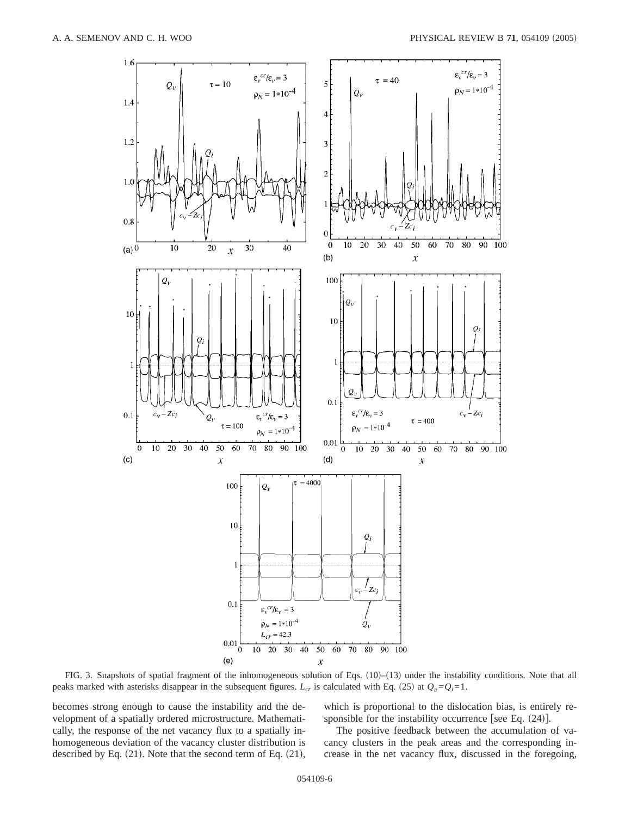

FIG. 3. Snapshots of spatial fragment of the inhomogeneous solution of Eqs.  $(10)$ – $(13)$  under the instability conditions. Note that all peaks marked with asterisks disappear in the subsequent figures.  $L_{cr}$  is calculated with Eq. (25) at  $Q_v = Q_i = 1$ .

becomes strong enough to cause the instability and the development of a spatially ordered microstructure. Mathematically, the response of the net vacancy flux to a spatially inhomogeneous deviation of the vacancy cluster distribution is described by Eq.  $(21)$ . Note that the second term of Eq.  $(21)$ ,

which is proportional to the dislocation bias, is entirely responsible for the instability occurrence [see Eq.  $(24)$ ].

The positive feedback between the accumulation of vacancy clusters in the peak areas and the corresponding increase in the net vacancy flux, discussed in the foregoing,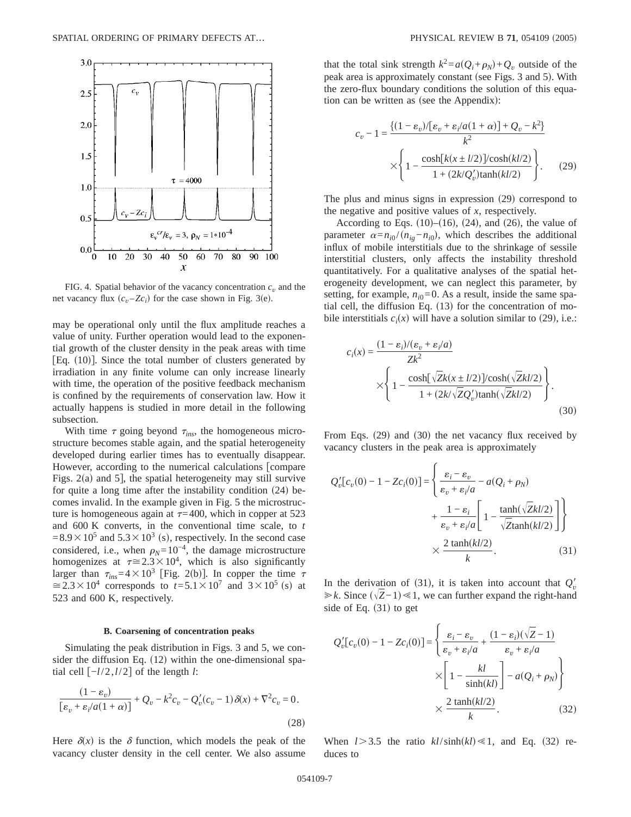

FIG. 4. Spatial behavior of the vacancy concentration  $c<sub>v</sub>$  and the net vacancy flux  $(c_n-Zc_i)$  for the case shown in Fig. 3(e).

may be operational only until the flux amplitude reaches a value of unity. Further operation would lead to the exponential growth of the cluster density in the peak areas with time [Eq.  $(10)$ ]. Since the total number of clusters generated by irradiation in any finite volume can only increase linearly with time, the operation of the positive feedback mechanism is confined by the requirements of conservation law. How it actually happens is studied in more detail in the following subsection.

With time  $\tau$  going beyond  $\tau_{ins}$ , the homogeneous microstructure becomes stable again, and the spatial heterogeneity developed during earlier times has to eventually disappear. However, according to the numerical calculations [compare] Figs.  $2(a)$  and 5], the spatial heterogeneity may still survive for quite a long time after the instability condition  $(24)$  becomes invalid. In the example given in Fig. 5 the microstructure is homogeneous again at  $\tau$ =400, which in copper at 523 and 600 K converts, in the conventional time scale, to *t*  $=8.9\times10^5$  and  $5.3\times10^3$  (s), respectively. In the second case considered, i.e., when  $\rho_N=10^{-4}$ , the damage microstructure homogenizes at  $\tau \approx 2.3 \times 10^4$ , which is also significantly larger than  $\tau_{ins} = 4 \times 10^3$  [Fig. 2(b)]. In copper the time  $\tau$  $\approx$  2.3 × 10<sup>4</sup> corresponds to  $t=5.1\times10^{7}$  and 3 × 10<sup>5</sup> (s) at 523 and 600 K, respectively.

## **B. Coarsening of concentration peaks**

Simulating the peak distribution in Figs. 3 and 5, we consider the diffusion Eq.  $(12)$  within the one-dimensional spatial cell  $\left[-\frac{l}{2}, \frac{l}{2}\right]$  of the length *l*:

$$
\frac{(1 - \varepsilon_v)}{\left[\varepsilon_v + \varepsilon_i / a(1 + \alpha)\right]} + Q_v - k^2 c_v - Q'_v (c_v - 1) \delta(x) + \nabla^2 c_v = 0.
$$
\n(28)

Here  $\delta(x)$  is the  $\delta$  function, which models the peak of the vacancy cluster density in the cell center. We also assume that the total sink strength  $k^2 = a(Q_i + \rho_N) + Q_v$  outside of the peak area is approximately constant (see Figs. 3 and 5). With the zero-flux boundary conditions the solution of this equation can be written as (see the Appendix):

$$
c_v - 1 = \frac{\{(1 - \varepsilon_v)/[\varepsilon_v + \varepsilon_i/a(1 + \alpha)] + Q_v - k^2\}}{k^2}
$$

$$
\times \left\{ 1 - \frac{\cosh[k(x \pm l/2)]/\cosh(kl/2)}{1 + (2k/Q_v')\tanh(kl/2)} \right\}.
$$
 (29)

The plus and minus signs in expression  $(29)$  correspond to the negative and positive values of *x*, respectively.

According to Eqs.  $(10)$ – $(16)$ ,  $(24)$ , and  $(26)$ , the value of parameter  $\alpha = n_{i0} / (n_{ig} - n_{i0})$ , which describes the additional influx of mobile interstitials due to the shrinkage of sessile interstitial clusters, only affects the instability threshold quantitatively. For a qualitative analyses of the spatial heterogeneity development, we can neglect this parameter, by setting, for example,  $n_{i0}=0$ . As a result, inside the same spatial cell, the diffusion Eq.  $(13)$  for the concentration of mobile interstitials  $c_i(x)$  will have a solution similar to (29), i.e.:

$$
c_i(x) = \frac{(1 - \varepsilon_i)/( \varepsilon_v + \varepsilon_i/a)}{Zk^2}
$$

$$
\times \left\{ 1 - \frac{\cosh[\sqrt{Z}k(x \pm l/2)]/\cosh(\sqrt{Z}kl/2)}{1 + (2k/\sqrt{Z}Q_v')\tanh(\sqrt{Z}kl/2)} \right\}.
$$
(30)

From Eqs.  $(29)$  and  $(30)$  the net vacancy flux received by vacancy clusters in the peak area is approximately

$$
Q'_{v}[c_{v}(0) - 1 - Zc_{i}(0)] = \left\{ \frac{\varepsilon_{i} - \varepsilon_{v}}{\varepsilon_{v} + \varepsilon_{i}/a} - a(Q_{i} + \rho_{N}) + \frac{1 - \varepsilon_{i}}{\varepsilon_{v} + \varepsilon_{i}/a} \left[ 1 - \frac{\tanh(\sqrt{Z}kl/2)}{\sqrt{Z}\tanh(kl/2)} \right] \right\}
$$

$$
\times \frac{2 \tanh(kl/2)}{k}.
$$
 (31)

In the derivation of (31), it is taken into account that  $Q'_v$  $\ge k$ . Since  $(\sqrt{Z}-1) \le 1$ , we can further expand the right-hand side of Eq.  $(31)$  to get

$$
Q'_{v}[c_{v}(0) - 1 - Zc_{i}(0)] = \begin{cases} \frac{\varepsilon_{i} - \varepsilon_{v}}{\varepsilon_{v} + \varepsilon_{i}/a} + \frac{(1 - \varepsilon_{i})(\sqrt{Z} - 1)}{\varepsilon_{v} + \varepsilon_{i}/a} \\ \times \left[1 - \frac{kl}{\sinh(kl)}\right] - a(Q_{i} + \rho_{N}) \end{cases}
$$
  

$$
\times \frac{2 \tanh(kl/2)}{k}.
$$
 (32)

When  $l > 3.5$  the ratio  $kl/\sinh(kl) \ll 1$ , and Eq. (32) reduces to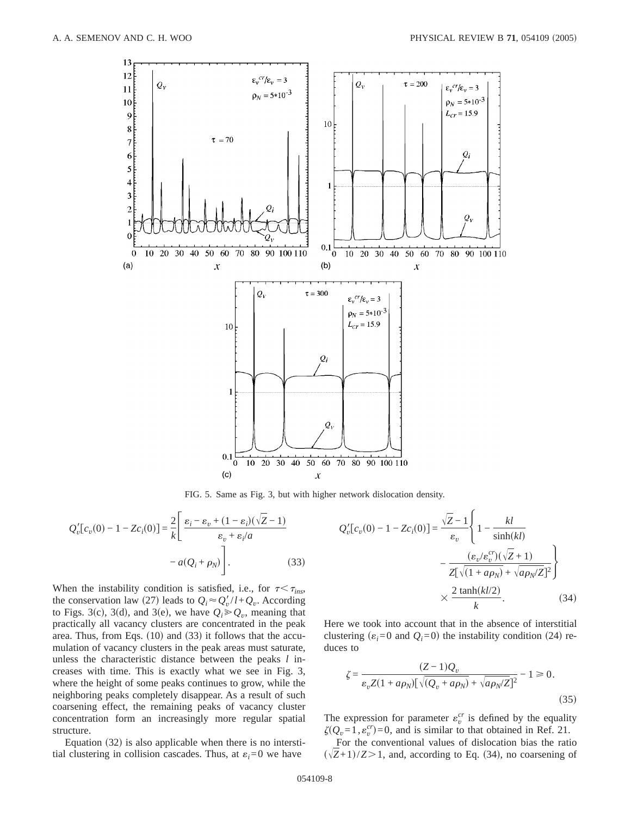

FIG. 5. Same as Fig. 3, but with higher network dislocation density.

$$
Q'_{v}[c_{v}(0) - 1 - Zc_{i}(0)] = \frac{2}{k} \left[ \frac{\varepsilon_{i} - \varepsilon_{v} + (1 - \varepsilon_{i})(\sqrt{Z} - 1)}{\varepsilon_{v} + \varepsilon_{i}/a} - a(Q_{i} + \rho_{N}) \right].
$$
\n(33)

When the instability condition is satisfied, i.e., for  $\tau < \tau_{ins}$ , the conservation law (27) leads to  $Q_i \approx Q'_v/l + Q_v$ . According to Figs. 3(c), 3(d), and 3(e), we have  $Q_i \ge Q_v$ , meaning that practically all vacancy clusters are concentrated in the peak area. Thus, from Eqs.  $(10)$  and  $(33)$  it follows that the accumulation of vacancy clusters in the peak areas must saturate, unless the characteristic distance between the peaks *l* increases with time. This is exactly what we see in Fig. 3, where the height of some peaks continues to grow, while the neighboring peaks completely disappear. As a result of such coarsening effect, the remaining peaks of vacancy cluster concentration form an increasingly more regular spatial structure.

Equation  $(32)$  is also applicable when there is no interstitial clustering in collision cascades. Thus, at  $\varepsilon_i = 0$  we have

$$
Q'_{v}[c_{v}(0)-1-Zc_{i}(0)]=\frac{\sqrt{Z}-1}{\varepsilon_{v}}\left\{1-\frac{kl}{\sinh(kl)}-\frac{(\varepsilon_{v}/\varepsilon_{v}^{cr})(\sqrt{Z}+1)}{Z[\sqrt{(1+a\rho_{N})}+\sqrt{a\rho_{N}/Z}]^{2}}\right\}
$$

$$
\times\frac{2\tanh(kl/2)}{k}.
$$
(34)

Here we took into account that in the absence of interstitial clustering  $(\varepsilon_i=0$  and  $Q_i=0$ ) the instability condition (24) reduces to

$$
\zeta = \frac{(Z-1)Q_v}{\varepsilon_v Z (1 + a\rho_N) [\sqrt{(Q_v + a\rho_N)} + \sqrt{a\rho_N/Z}]^2} - 1 \ge 0.
$$
\n(35)

The expression for parameter  $\varepsilon_v^{cr}$  is defined by the equality  $\zeta(Q_v=1, \varepsilon_v^{cr})=0$ , and is similar to that obtained in Ref. 21.

For the conventional values of dislocation bias the ratio  $(\sqrt{Z}+1)/Z$  1, and, according to Eq. (34), no coarsening of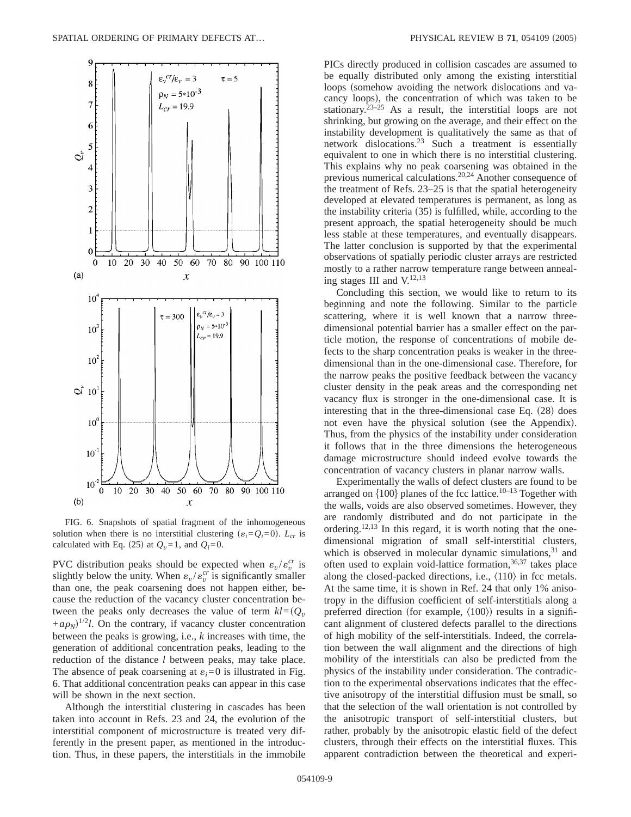

FIG. 6. Snapshots of spatial fragment of the inhomogeneous solution when there is no interstitial clustering  $(\varepsilon_i = Q_i = 0)$ .  $L_{cr}$  is calculated with Eq. (25) at  $Q_v = 1$ , and  $Q_i = 0$ .

PVC distribution peaks should be expected when  $\varepsilon_v / \varepsilon_v^{cr}$  is slightly below the unity. When  $\varepsilon_v / \varepsilon_v^{cr}$  is significantly smaller than one, the peak coarsening does not happen either, because the reduction of the vacancy cluster concentration between the peaks only decreases the value of term  $kl = (Q_n)$  $+a\rho_N$ <sup>1/2</sup>*l*. On the contrary, if vacancy cluster concentration between the peaks is growing, i.e., *k* increases with time, the generation of additional concentration peaks, leading to the reduction of the distance *l* between peaks, may take place. The absence of peak coarsening at  $\varepsilon_i = 0$  is illustrated in Fig. 6. That additional concentration peaks can appear in this case will be shown in the next section.

Although the interstitial clustering in cascades has been taken into account in Refs. 23 and 24, the evolution of the interstitial component of microstructure is treated very differently in the present paper, as mentioned in the introduction. Thus, in these papers, the interstitials in the immobile PICs directly produced in collision cascades are assumed to be equally distributed only among the existing interstitial loops (somehow avoiding the network dislocations and vacancy loops), the concentration of which was taken to be stationary.<sup>23–25</sup> As a result, the interstitial loops are not shrinking, but growing on the average, and their effect on the instability development is qualitatively the same as that of network dislocations.23 Such a treatment is essentially equivalent to one in which there is no interstitial clustering. This explains why no peak coarsening was obtained in the previous numerical calculations.20,24 Another consequence of the treatment of Refs. 23–25 is that the spatial heterogeneity developed at elevated temperatures is permanent, as long as the instability criteria  $(35)$  is fulfilled, while, according to the present approach, the spatial heterogeneity should be much less stable at these temperatures, and eventually disappears. The latter conclusion is supported by that the experimental observations of spatially periodic cluster arrays are restricted mostly to a rather narrow temperature range between annealing stages III and V.12,13

Concluding this section, we would like to return to its beginning and note the following. Similar to the particle scattering, where it is well known that a narrow threedimensional potential barrier has a smaller effect on the particle motion, the response of concentrations of mobile defects to the sharp concentration peaks is weaker in the threedimensional than in the one-dimensional case. Therefore, for the narrow peaks the positive feedback between the vacancy cluster density in the peak areas and the corresponding net vacancy flux is stronger in the one-dimensional case. It is interesting that in the three-dimensional case Eq.  $(28)$  does not even have the physical solution (see the Appendix). Thus, from the physics of the instability under consideration it follows that in the three dimensions the heterogeneous damage microstructure should indeed evolve towards the concentration of vacancy clusters in planar narrow walls.

Experimentally the walls of defect clusters are found to be arranged on  ${100}$  planes of the fcc lattice.<sup>10–13</sup> Together with the walls, voids are also observed sometimes. However, they are randomly distributed and do not participate in the ordering.<sup>12,13</sup> In this regard, it is worth noting that the onedimensional migration of small self-interstitial clusters, which is observed in molecular dynamic simulations,<sup>31</sup> and often used to explain void-lattice formation,<sup>36,37</sup> takes place along the closed-packed directions, i.e.,  $\langle 110 \rangle$  in fcc metals. At the same time, it is shown in Ref. 24 that only 1% anisotropy in the diffusion coefficient of self-interstitials along a preferred direction (for example,  $\langle 100 \rangle$ ) results in a significant alignment of clustered defects parallel to the directions of high mobility of the self-interstitials. Indeed, the correlation between the wall alignment and the directions of high mobility of the interstitials can also be predicted from the physics of the instability under consideration. The contradiction to the experimental observations indicates that the effective anisotropy of the interstitial diffusion must be small, so that the selection of the wall orientation is not controlled by the anisotropic transport of self-interstitial clusters, but rather, probably by the anisotropic elastic field of the defect clusters, through their effects on the interstitial fluxes. This apparent contradiction between the theoretical and experi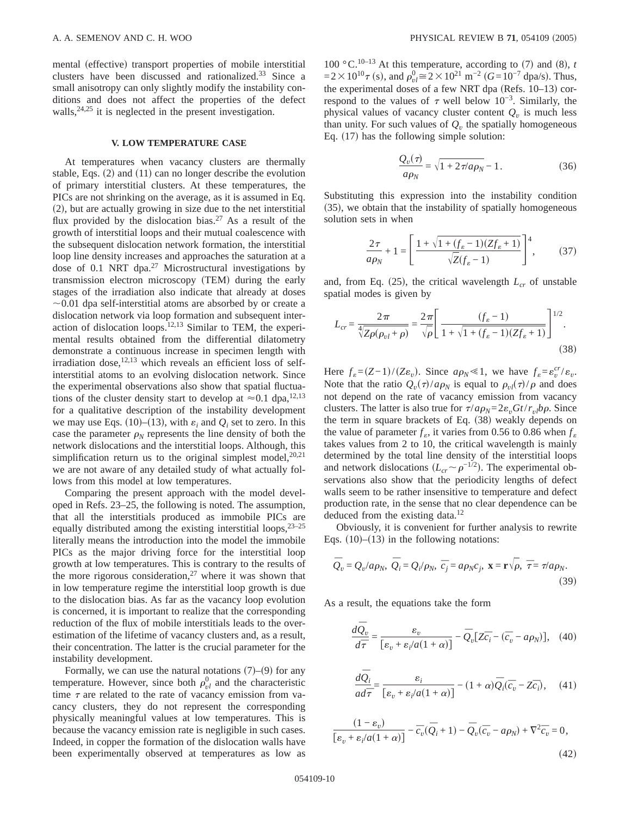mental (effective) transport properties of mobile interstitial clusters have been discussed and rationalized.<sup>33</sup> Since a small anisotropy can only slightly modify the instability conditions and does not affect the properties of the defect walls, $24.25$  it is neglected in the present investigation.

#### **V. LOW TEMPERATURE CASE**

At temperatures when vacancy clusters are thermally stable, Eqs.  $(2)$  and  $(11)$  can no longer describe the evolution of primary interstitial clusters. At these temperatures, the PICs are not shrinking on the average, as it is assumed in Eq.  $(2)$ , but are actually growing in size due to the net interstitial flux provided by the dislocation bias.<sup>27</sup> As a result of the growth of interstitial loops and their mutual coalescence with the subsequent dislocation network formation, the interstitial loop line density increases and approaches the saturation at a dose of 0.1 NRT dpa.<sup>27</sup> Microstructural investigations by transmission electron microscopy (TEM) during the early stages of the irradiation also indicate that already at doses  $\sim$ 0.01 dpa self-interstitial atoms are absorbed by or create a dislocation network via loop formation and subsequent interaction of dislocation loops.<sup>12,13</sup> Similar to TEM, the experimental results obtained from the differential dilatometry demonstrate a continuous increase in specimen length with irradiation dose, $12,13$  which reveals an efficient loss of selfinterstitial atoms to an evolving dislocation network. Since the experimental observations also show that spatial fluctuations of the cluster density start to develop at  $\approx 0.1$  dpa, <sup>12,13</sup> for a qualitative description of the instability development we may use Eqs. (10)–(13), with  $\varepsilon_i$  and  $Q_i$  set to zero. In this case the parameter  $\rho_N$  represents the line density of both the network dislocations and the interstitial loops. Although, this simplification return us to the original simplest model, $^{20,21}$ we are not aware of any detailed study of what actually follows from this model at low temperatures.

Comparing the present approach with the model developed in Refs. 23–25, the following is noted. The assumption, that all the interstitials produced as immobile PICs are equally distributed among the existing interstitial loops,  $23-25$ literally means the introduction into the model the immobile PICs as the major driving force for the interstitial loop growth at low temperatures. This is contrary to the results of the more rigorous consideration,<sup>27</sup> where it was shown that in low temperature regime the interstitial loop growth is due to the dislocation bias. As far as the vacancy loop evolution is concerned, it is important to realize that the corresponding reduction of the flux of mobile interstitials leads to the overestimation of the lifetime of vacancy clusters and, as a result, their concentration. The latter is the crucial parameter for the instability development.

Formally, we can use the natural notations  $(7)-(9)$  for any temperature. However, since both  $\rho_{vl}^0$  and the characteristic time  $\tau$  are related to the rate of vacancy emission from vacancy clusters, they do not represent the corresponding physically meaningful values at low temperatures. This is because the vacancy emission rate is negligible in such cases. Indeed, in copper the formation of the dislocation walls have been experimentally observed at temperatures as low as

100 °C.<sup>10–13</sup> At this temperature, according to (7) and (8),  $t$  $=2\times10^{10}\tau$  (s), and  $\rho_{vl}^0 \cong 2\times10^{21}$  m<sup>-2</sup> (*G*=10<sup>-7</sup> dpa/s). Thus, the experimental doses of a few NRT dpa (Refs.  $10-13$ ) correspond to the values of  $\tau$  well below 10<sup>-3</sup>. Similarly, the physical values of vacancy cluster content  $Q<sub>v</sub>$  is much less than unity. For such values of  $Q<sub>v</sub>$  the spatially homogeneous Eq.  $(17)$  has the following simple solution:

$$
\frac{Q_v(\tau)}{a\rho_N} = \sqrt{1 + 2\tau/a\rho_N} - 1.
$$
 (36)

Substituting this expression into the instability condition (35), we obtain that the instability of spatially homogeneous solution sets in when

$$
\frac{2\tau}{a\rho_N} + 1 = \left[ \frac{1 + \sqrt{1 + (f_{\varepsilon} - 1)(Zf_{\varepsilon} + 1)}}{\sqrt{Z}(f_{\varepsilon} - 1)} \right]^4, \quad (37)
$$

and, from Eq.  $(25)$ , the critical wavelength  $L_{cr}$  of unstable spatial modes is given by

$$
L_{cr} = \frac{2\pi}{\sqrt[4]{Z\rho(\rho_{vl}+\rho)}} = \frac{2\pi}{\sqrt{\rho}} \left[ \frac{(f_{\varepsilon}-1)}{1+\sqrt{1+(f_{\varepsilon}-1)(Zf_{\varepsilon}+1)}} \right]^{1/2}.
$$
\n(38)

Here  $f_{\varepsilon} = (Z-1)/(Z\varepsilon_v)$ . Since  $a\rho_N \ll 1$ , we have  $f_{\varepsilon} = \varepsilon_v^{cr}/\varepsilon_v$ . Note that the ratio  $Q_v(\tau)/a\rho_N$  is equal to  $\rho_v(\tau)/\rho$  and does not depend on the rate of vacancy emission from vacancy clusters. The latter is also true for  $\tau/a\rho_N=2\varepsilon_vGt/r_v/b\rho$ . Since the term in square brackets of Eq.  $(38)$  weakly depends on the value of parameter  $f_{\varepsilon}$ , it varies from 0.56 to 0.86 when  $f_{\varepsilon}$ takes values from 2 to 10, the critical wavelength is mainly determined by the total line density of the interstitial loops and network dislocations  $(L_{cr}~\rho^{-1/2})$ . The experimental observations also show that the periodicity lengths of defect walls seem to be rather insensitive to temperature and defect production rate, in the sense that no clear dependence can be deduced from the existing data.<sup>12</sup>

Obviously, it is convenient for further analysis to rewrite Eqs.  $(10)$ – $(13)$  in the following notations:

$$
\overline{Q}_v = Q_v/a\rho_N, \ \overline{Q}_i = Q_i/\rho_N, \ \overline{c}_j = a\rho_N c_j, \ \mathbf{x} = \mathbf{r}\sqrt{\rho}, \ \overline{\tau} = \tau/a\rho_N.
$$
\n(39)

As a result, the equations take the form

$$
\frac{d\overline{Q}_v}{d\overline{\tau}} = \frac{\varepsilon_v}{\left[\varepsilon_v + \varepsilon_i/a(1+\alpha)\right]} - \overline{Q}_v[Z\overline{c}_i - (\overline{c}_v - a\rho_N)], \quad (40)
$$

$$
\frac{d\overline{Q}_i}{ad\overline{\tau}} = \frac{\varepsilon_i}{\left[\varepsilon_v + \varepsilon_i/a(1+\alpha)\right]} - (1+\alpha)\overline{Q}_i(\overline{c}_v - Z\overline{c}_i), \quad (41)
$$

$$
\frac{(1 - \varepsilon_v)}{\left[\varepsilon_v + \varepsilon_i / a(1 + \alpha)\right]} - \overline{c}_v(\overline{Q}_i + 1) - \overline{Q}_v(\overline{c}_v - a\rho_N) + \nabla^2 \overline{c}_v = 0,
$$
\n(42)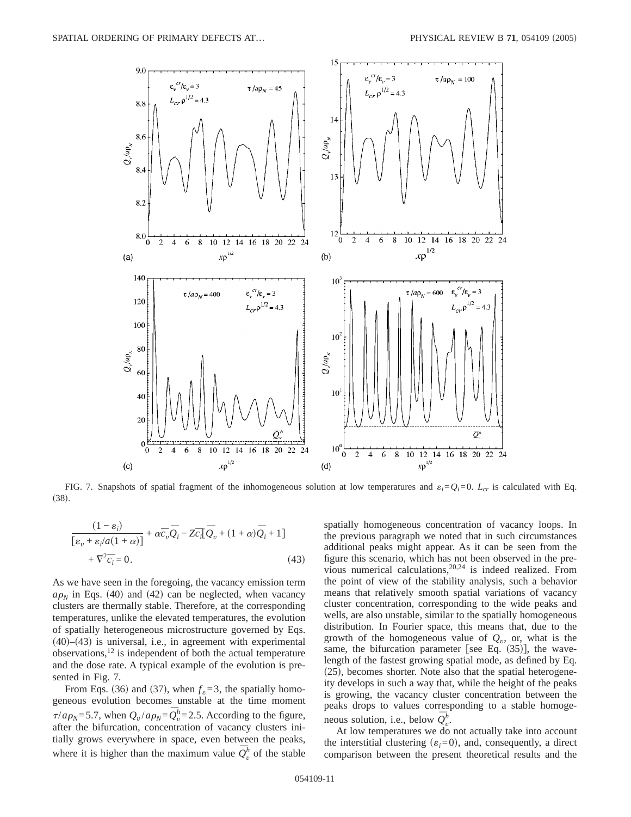

FIG. 7. Snapshots of spatial fragment of the inhomogeneous solution at low temperatures and  $\varepsilon_i = Q_i = 0$ .  $L_{cr}$  is calculated with Eq.  $(38).$ 

$$
\frac{(1 - \varepsilon_i)}{[\varepsilon_v + \varepsilon_i/a(1 + \alpha)]} + \alpha \overline{c}_v \overline{Q}_i - Z \overline{c}_i [\overline{Q}_v + (1 + \alpha) \overline{Q}_i + 1] + \nabla^2 \overline{c}_i = 0.
$$
\n(43)

As we have seen in the foregoing, the vacancy emission term  $a\rho_N$  in Eqs. (40) and (42) can be neglected, when vacancy clusters are thermally stable. Therefore, at the corresponding temperatures, unlike the elevated temperatures, the evolution of spatially heterogeneous microstructure governed by Eqs.  $(40)$ – $(43)$  is universal, i.e., in agreement with experimental observations, $^{12}$  is independent of both the actual temperature and the dose rate. A typical example of the evolution is presented in Fig. 7.

From Eqs. (36) and (37), when  $f<sub>ε</sub> = 3$ , the spatially homogeneous evolution becomes unstable at the time moment  $\tau/a\rho_N$ =5.7, when  $Q_v/a\rho_N = \overline{Q}_v^h$ =2.5. According to the figure, after the bifurcation, concentration of vacancy clusters initially grows everywhere in space, even between the peaks, where it is higher than the maximum value  $\overline{Q}^h_v$  of the stable

spatially homogeneous concentration of vacancy loops. In the previous paragraph we noted that in such circumstances additional peaks might appear. As it can be seen from the figure this scenario, which has not been observed in the previous numerical calculations,<sup>20,24</sup> is indeed realized. From the point of view of the stability analysis, such a behavior means that relatively smooth spatial variations of vacancy cluster concentration, corresponding to the wide peaks and wells, are also unstable, similar to the spatially homogeneous distribution. In Fourier space, this means that, due to the growth of the homogeneous value of  $Q_v$ , or, what is the same, the bifurcation parameter [see Eq.  $(35)$ ], the wavelength of the fastest growing spatial mode, as defined by Eq.  $(25)$ , becomes shorter. Note also that the spatial heterogeneity develops in such a way that, while the height of the peaks is growing, the vacancy cluster concentration between the peaks drops to values corresponding to a stable homogeneous solution, i.e., below  $\overline{Q}_v^h$ .

At low temperatures we do not actually take into account the interstitial clustering  $(\varepsilon_i=0)$ , and, consequently, a direct comparison between the present theoretical results and the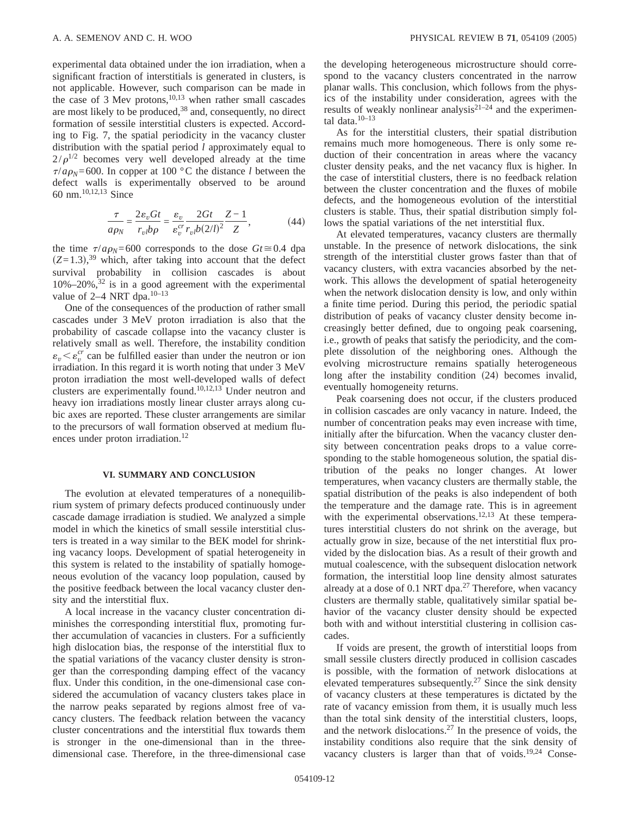experimental data obtained under the ion irradiation, when a significant fraction of interstitials is generated in clusters, is not applicable. However, such comparison can be made in the case of 3 Mev protons, $10,13$  when rather small cascades are most likely to be produced,  $38$  and, consequently, no direct formation of sessile interstitial clusters is expected. According to Fig. 7, the spatial periodicity in the vacancy cluster distribution with the spatial period *l* approximately equal to  $2/\rho^{1/2}$  becomes very well developed already at the time  $\tau/a\rho_N$ =600. In copper at 100 °C the distance *l* between the defect walls is experimentally observed to be around 60 nm.10,12,13 Since

$$
\frac{\tau}{a\rho_N} = \frac{2\varepsilon_v Gt}{r_{vl}\rho\rho} = \frac{\varepsilon_v}{\varepsilon_v^{cr}} \frac{2Gt}{r_{vl}b(2/l)^2} \frac{Z-1}{Z},\tag{44}
$$

the time  $\tau/a\rho_N=600$  corresponds to the dose  $Gt \approx 0.4$  dpa  $(Z=1.3)$ ,<sup>39</sup> which, after taking into account that the defect survival probability in collision cascades is about  $10\% - 20\%$ ,  $32$  is in a good agreement with the experimental value of 2-4 NRT dpa.<sup>10-13</sup>

One of the consequences of the production of rather small cascades under 3 MeV proton irradiation is also that the probability of cascade collapse into the vacancy cluster is relatively small as well. Therefore, the instability condition  $\varepsilon_v \leq \varepsilon_v^{cr}$  can be fulfilled easier than under the neutron or ion irradiation. In this regard it is worth noting that under 3 MeV proton irradiation the most well-developed walls of defect clusters are experimentally found.<sup>10,12,13</sup> Under neutron and heavy ion irradiations mostly linear cluster arrays along cubic axes are reported. These cluster arrangements are similar to the precursors of wall formation observed at medium fluences under proton irradiation.<sup>12</sup>

## **VI. SUMMARY AND CONCLUSION**

The evolution at elevated temperatures of a nonequilibrium system of primary defects produced continuously under cascade damage irradiation is studied. We analyzed a simple model in which the kinetics of small sessile interstitial clusters is treated in a way similar to the BEK model for shrinking vacancy loops. Development of spatial heterogeneity in this system is related to the instability of spatially homogeneous evolution of the vacancy loop population, caused by the positive feedback between the local vacancy cluster density and the interstitial flux.

A local increase in the vacancy cluster concentration diminishes the corresponding interstitial flux, promoting further accumulation of vacancies in clusters. For a sufficiently high dislocation bias, the response of the interstitial flux to the spatial variations of the vacancy cluster density is stronger than the corresponding damping effect of the vacancy flux. Under this condition, in the one-dimensional case considered the accumulation of vacancy clusters takes place in the narrow peaks separated by regions almost free of vacancy clusters. The feedback relation between the vacancy cluster concentrations and the interstitial flux towards them is stronger in the one-dimensional than in the threedimensional case. Therefore, in the three-dimensional case the developing heterogeneous microstructure should correspond to the vacancy clusters concentrated in the narrow planar walls. This conclusion, which follows from the physics of the instability under consideration, agrees with the results of weakly nonlinear analysis<sup>21–24</sup> and the experimental data. $10-13$ 

As for the interstitial clusters, their spatial distribution remains much more homogeneous. There is only some reduction of their concentration in areas where the vacancy cluster density peaks, and the net vacancy flux is higher. In the case of interstitial clusters, there is no feedback relation between the cluster concentration and the fluxes of mobile defects, and the homogeneous evolution of the interstitial clusters is stable. Thus, their spatial distribution simply follows the spatial variations of the net interstitial flux.

At elevated temperatures, vacancy clusters are thermally unstable. In the presence of network dislocations, the sink strength of the interstitial cluster grows faster than that of vacancy clusters, with extra vacancies absorbed by the network. This allows the development of spatial heterogeneity when the network dislocation density is low, and only within a finite time period. During this period, the periodic spatial distribution of peaks of vacancy cluster density become increasingly better defined, due to ongoing peak coarsening, i.e., growth of peaks that satisfy the periodicity, and the complete dissolution of the neighboring ones. Although the evolving microstructure remains spatially heterogeneous long after the instability condition  $(24)$  becomes invalid, eventually homogeneity returns.

Peak coarsening does not occur, if the clusters produced in collision cascades are only vacancy in nature. Indeed, the number of concentration peaks may even increase with time, initially after the bifurcation. When the vacancy cluster density between concentration peaks drops to a value corresponding to the stable homogeneous solution, the spatial distribution of the peaks no longer changes. At lower temperatures, when vacancy clusters are thermally stable, the spatial distribution of the peaks is also independent of both the temperature and the damage rate. This is in agreement with the experimental observations.<sup>12,13</sup> At these temperatures interstitial clusters do not shrink on the average, but actually grow in size, because of the net interstitial flux provided by the dislocation bias. As a result of their growth and mutual coalescence, with the subsequent dislocation network formation, the interstitial loop line density almost saturates already at a dose of 0.1 NRT dpa.<sup>27</sup> Therefore, when vacancy clusters are thermally stable, qualitatively similar spatial behavior of the vacancy cluster density should be expected both with and without interstitial clustering in collision cascades.

If voids are present, the growth of interstitial loops from small sessile clusters directly produced in collision cascades is possible, with the formation of network dislocations at elevated temperatures subsequently.<sup>27</sup> Since the sink density of vacancy clusters at these temperatures is dictated by the rate of vacancy emission from them, it is usually much less than the total sink density of the interstitial clusters, loops, and the network dislocations. $27$  In the presence of voids, the instability conditions also require that the sink density of vacancy clusters is larger than that of voids.<sup>19,24</sup> Conse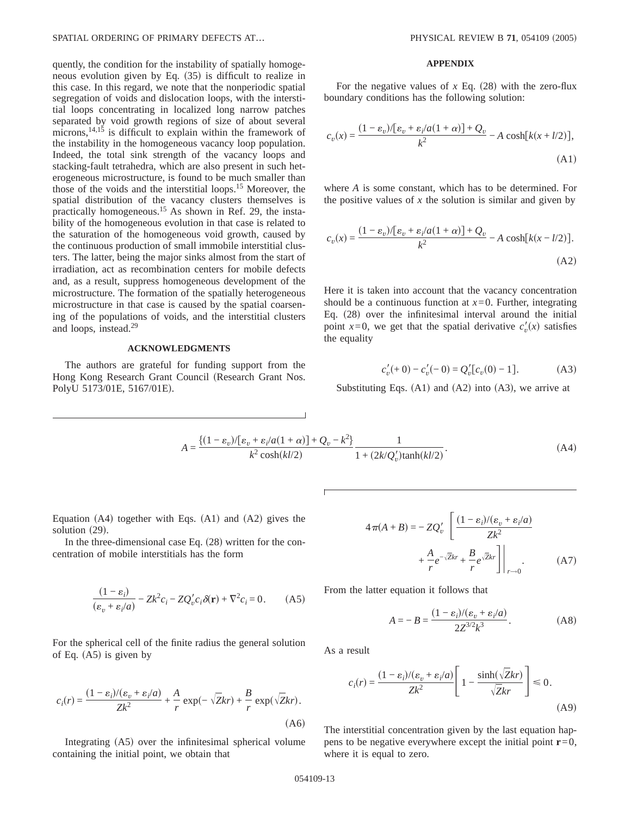quently, the condition for the instability of spatially homogeneous evolution given by Eq.  $(35)$  is difficult to realize in this case. In this regard, we note that the nonperiodic spatial segregation of voids and dislocation loops, with the interstitial loops concentrating in localized long narrow patches separated by void growth regions of size of about several microns,<sup>14,15</sup> is difficult to explain within the framework of the instability in the homogeneous vacancy loop population. Indeed, the total sink strength of the vacancy loops and stacking-fault tetrahedra, which are also present in such heterogeneous microstructure, is found to be much smaller than those of the voids and the interstitial loops.15 Moreover, the spatial distribution of the vacancy clusters themselves is practically homogeneous.15 As shown in Ref. 29, the instability of the homogeneous evolution in that case is related to the saturation of the homogeneous void growth, caused by the continuous production of small immobile interstitial clusters. The latter, being the major sinks almost from the start of irradiation, act as recombination centers for mobile defects and, as a result, suppress homogeneous development of the microstructure. The formation of the spatially heterogeneous microstructure in that case is caused by the spatial coarsening of the populations of voids, and the interstitial clusters and loops, instead.<sup>29</sup>

## **ACKNOWLEDGMENTS**

The authors are grateful for funding support from the Hong Kong Research Grant Council (Research Grant Nos. PolyU 5173/01E, 5167/01E).

## **APPENDIX**

For the negative values of  $x$  Eq. (28) with the zero-flux boundary conditions has the following solution:

$$
c_v(x) = \frac{(1 - \varepsilon_v) / [\varepsilon_v + \varepsilon_i / a(1 + \alpha)] + Q_v}{k^2} - A \cosh[k(x + l/2)],
$$
\n(A1)

where *A* is some constant, which has to be determined. For the positive values of  $x$  the solution is similar and given by

$$
c_v(x) = \frac{(1 - \varepsilon_v)/[\varepsilon_v + \varepsilon_i/a(1 + \alpha)] + Q_v}{k^2} - A \cosh[k(x - l/2)].
$$
\n(A2)

Here it is taken into account that the vacancy concentration should be a continuous function at  $x=0$ . Further, integrating Eq.  $(28)$  over the infinitesimal interval around the initial point *x*=0, we get that the spatial derivative  $c'_v(x)$  satisfies the equality

$$
c'_{v}(+0) - c'_{v}(-0) = Q'_{v}[c_{v}(0) - 1].
$$
 (A3)

Substituting Eqs.  $(A1)$  and  $(A2)$  into  $(A3)$ , we arrive at

$$
A = \frac{\{(1 - \varepsilon_v)/[\varepsilon_v + \varepsilon_i/a(1 + \alpha)] + Q_v - k^2\}}{k^2 \cosh(kl/2)} \frac{1}{1 + (2k/Q_v')\tanh(kl/2)}.
$$
 (A4)

Equation  $(A4)$  together with Eqs.  $(A1)$  and  $(A2)$  gives the solution  $(29)$ .

In the three-dimensional case Eq.  $(28)$  written for the concentration of mobile interstitials has the form

$$
\frac{(1 - \varepsilon_i)}{(\varepsilon_v + \varepsilon_i/a)} - Zk^2 c_i - ZQ'_v c_i \delta(\mathbf{r}) + \nabla^2 c_i = 0.
$$
 (A5)

For the spherical cell of the finite radius the general solution of Eq.  $(A5)$  is given by

$$
c_i(r) = \frac{(1 - \varepsilon_i)/( \varepsilon_v + \varepsilon_i/a)}{Zk^2} + \frac{A}{r} \exp(-\sqrt{Z}kr) + \frac{B}{r} \exp(\sqrt{Z}kr).
$$
\n(A6)

Integrating  $(A5)$  over the infinitesimal spherical volume containing the initial point, we obtain that

$$
4\pi(A+B) = -ZQ_v' \left[ \frac{(1-\varepsilon_i)/(\varepsilon_v + \varepsilon_i/a)}{Zk^2} + \frac{A}{r}e^{-\sqrt{Z}kr} + \frac{B}{r}e^{\sqrt{Z}kr} \right] \Big|_{r \to 0}.
$$
 (A7)

From the latter equation it follows that

$$
A = -B = \frac{(1 - \varepsilon_i) / (\varepsilon_v + \varepsilon_i / a)}{2 Z^{3/2} k^3}.
$$
 (A8)

As a result

$$
c_i(r) = \frac{(1 - \varepsilon_i) / (\varepsilon_v + \varepsilon_i/a)}{Z k^2} \left[ 1 - \frac{\sinh(\sqrt{Z}kr)}{\sqrt{Z}kr} \right] \le 0.
$$
\n(A9)

The interstitial concentration given by the last equation happens to be negative everywhere except the initial point  $\mathbf{r}=0$ , where it is equal to zero.